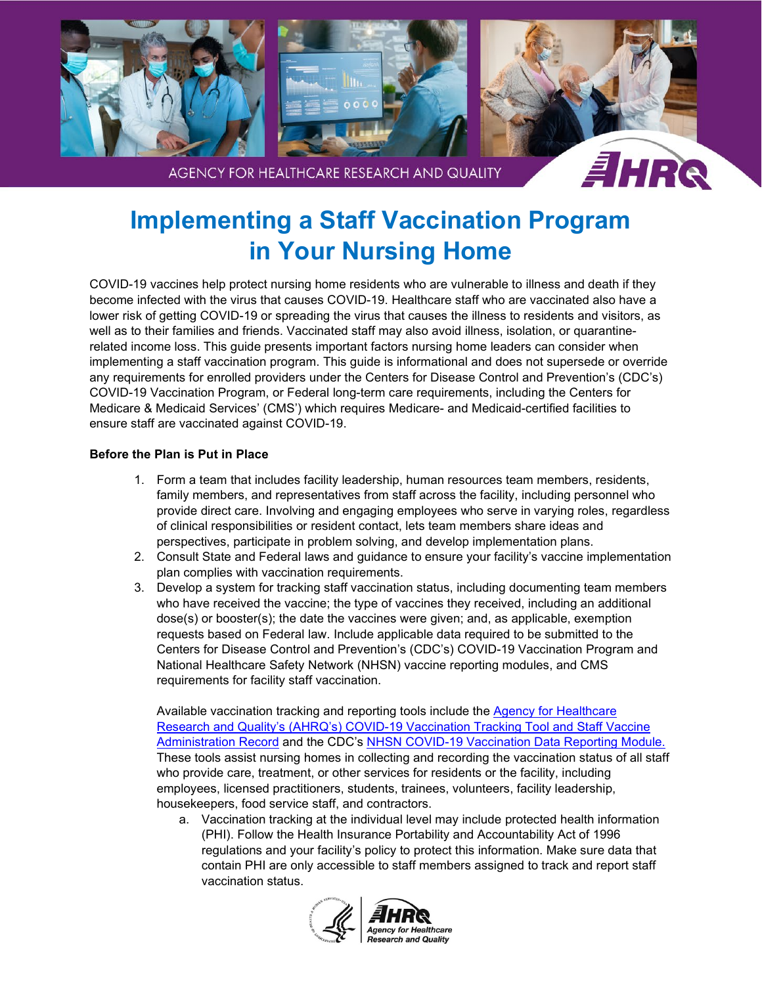

# **Implementing a Staff Vaccination Program in Your Nursing Home**

COVID-19 vaccines help protect nursing home residents who are vulnerable to illness and death if they become infected with the virus that causes COVID-19. Healthcare staff who are vaccinated also have a lower risk of getting COVID-19 or spreading the virus that causes the illness to residents and visitors, as well as to their families and friends. Vaccinated staff may also avoid illness, isolation, or quarantinerelated income loss. This guide presents important factors nursing home leaders can consider when implementing a staff vaccination program. This guide is informational and does not supersede or override any requirements for enrolled providers under the Centers for Disease Control and Prevention's (CDC's) COVID-19 Vaccination Program, or Federal long-term care requirements, including the Centers for Medicare & Medicaid Services' (CMS') which requires Medicare- and Medicaid-certified facilities to ensure staff are vaccinated against COVID-19.

### **Before the Plan is Put in Place**

- 1. Form a team that includes facility leadership, human resources team members, residents, family members, and representatives from staff across the facility, including personnel who provide direct care. Involving and engaging employees who serve in varying roles, regardless of clinical responsibilities or resident contact, lets team members share ideas and perspectives, participate in problem solving, and develop implementation plans.
- 2. Consult State and Federal laws and guidance to ensure your facility's vaccine implementation plan complies with vaccination requirements.
- 3. Develop a system for tracking staff vaccination status, including documenting team members who have received the vaccine; the type of vaccines they received, including an additional dose(s) or booster(s); the date the vaccines were given; and, as applicable, exemption requests based on Federal law. Include applicable data required to be submitted to the Centers for Disease Control and Prevention's (CDC's) COVID-19 Vaccination Program and National Healthcare Safety Network (NHSN) vaccine reporting modules, and CMS requirements for facility staff vaccination.

Available vaccination tracking and reporting tools include the [Agency for Healthcare](https://www.ahrq.gov/nursing-home/materials/vaccination/index.html) [Research and Quality's \(AHRQ's\) COVID-19 Vaccination Tracking Tool and Staff Vaccine](https://www.ahrq.gov/nursing-home/materials/vaccination/index.html) [Administration Record](https://www.ahrq.gov/nursing-home/materials/vaccination/index.html) and the CDC's [NHSN COVID-19 Vaccination Data Reporting Module.](https://www.cdc.gov/nhsn/hps/weekly-covid-vac/index.html) These tools assist nursing homes in collecting and recording the vaccination status of all staff who provide care, treatment, or other services for residents or the facility, including employees, licensed practitioners, students, trainees, volunteers, facility leadership, housekeepers, food service staff, and contractors.

a. Vaccination tracking at the individual level may include protected health information (PHI). Follow the Health Insurance Portability and Accountability Act of 1996 regulations and your facility's policy to protect this information. Make sure data that contain PHI are only accessible to staff members assigned to track and report staff vaccination status.

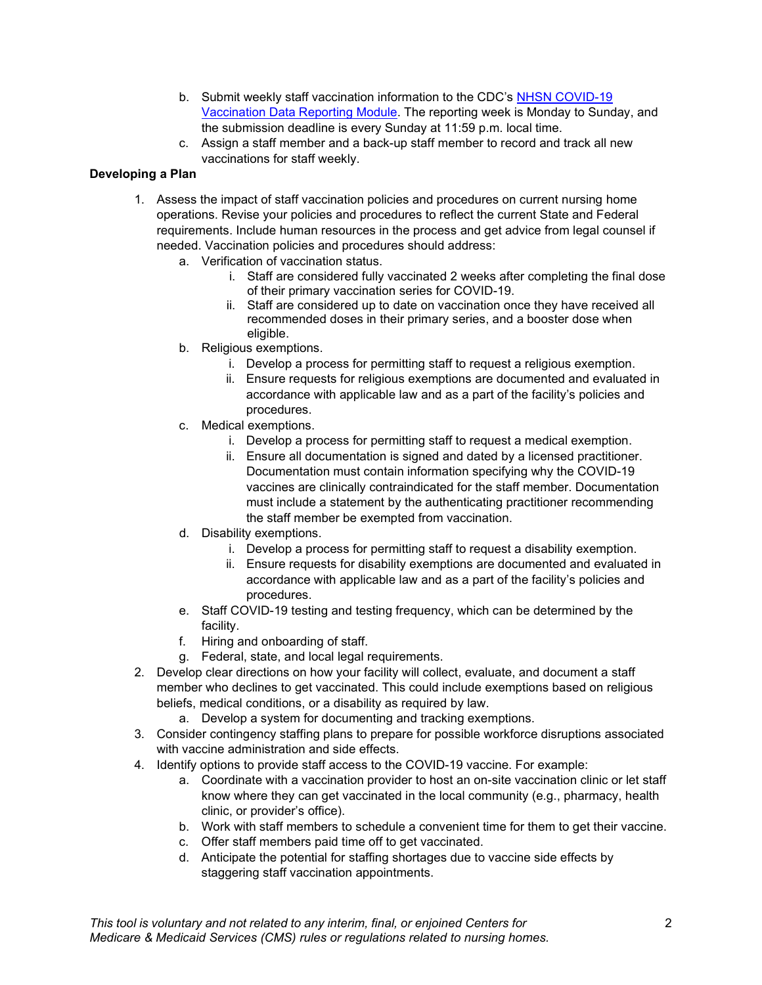- b. Submit weekly staff vaccination information to the CDC's NHSN [COVID-19](https://www.cdc.gov/nhsn/ltc/weekly-covid-vac/index.html)  [Vaccination Data Reporting Module.](https://www.cdc.gov/nhsn/ltc/weekly-covid-vac/index.html) The reporting week is Monday to Sunday, and the submission deadline is every Sunday at 11:59 p.m. local time.
- c. Assign a staff member and a back-up staff member to record and track all new vaccinations for staff weekly.

### **Developing a Plan**

- 1. Assess the impact of staff vaccination policies and procedures on current nursing home operations. Revise your policies and procedures to reflect the current State and Federal requirements. Include human resources in the process and get advice from legal counsel if needed. Vaccination policies and procedures should address:
	- a. Verification of vaccination status.
		- i. Staff are considered fully vaccinated 2 weeks after completing the final dose of their primary vaccination series for COVID-19.
		- ii. Staff are considered up to date on vaccination once they have received all recommended doses in their primary series, and a booster dose when eligible.
	- b. Religious exemptions.
		- i. Develop a process for permitting staff to request a religious exemption.
		- ii. Ensure requests for religious exemptions are documented and evaluated in accordance with applicable law and as a part of the facility's policies and procedures.
	- c. Medical exemptions.
		- i. Develop a process for permitting staff to request a medical exemption.
		- ii. Ensure all documentation is signed and dated by a licensed practitioner. Documentation must contain information specifying why the COVID-19 vaccines are clinically contraindicated for the staff member. Documentation must include a statement by the authenticating practitioner recommending the staff member be exempted from vaccination.
	- d. Disability exemptions.
		- i. Develop a process for permitting staff to request a disability exemption.
		- ii. Ensure requests for disability exemptions are documented and evaluated in accordance with applicable law and as a part of the facility's policies and procedures.
	- e. Staff COVID-19 testing and testing frequency, which can be determined by the facility.
	- f. Hiring and onboarding of staff.
	- g. Federal, state, and local legal requirements.
- 2. Develop clear directions on how your facility will collect, evaluate, and document a staff member who declines to get vaccinated. This could include exemptions based on religious beliefs, medical conditions, or a disability as required by law.
	- a. Develop a system for documenting and tracking exemptions.
- 3. Consider contingency staffing plans to prepare for possible workforce disruptions associated with vaccine administration and side effects.
- 4. Identify options to provide staff access to the COVID-19 vaccine. For example:
	- a. Coordinate with a vaccination provider to host an on-site vaccination clinic or let staff know where they can get vaccinated in the local community (e.g., pharmacy, health clinic, or provider's office).
	- b. Work with staff members to schedule a convenient time for them to get their vaccine.
	- c. Offer staff members paid time off to get vaccinated.
	- d. Anticipate the potential for staffing shortages due to vaccine side effects by staggering staff vaccination appointments.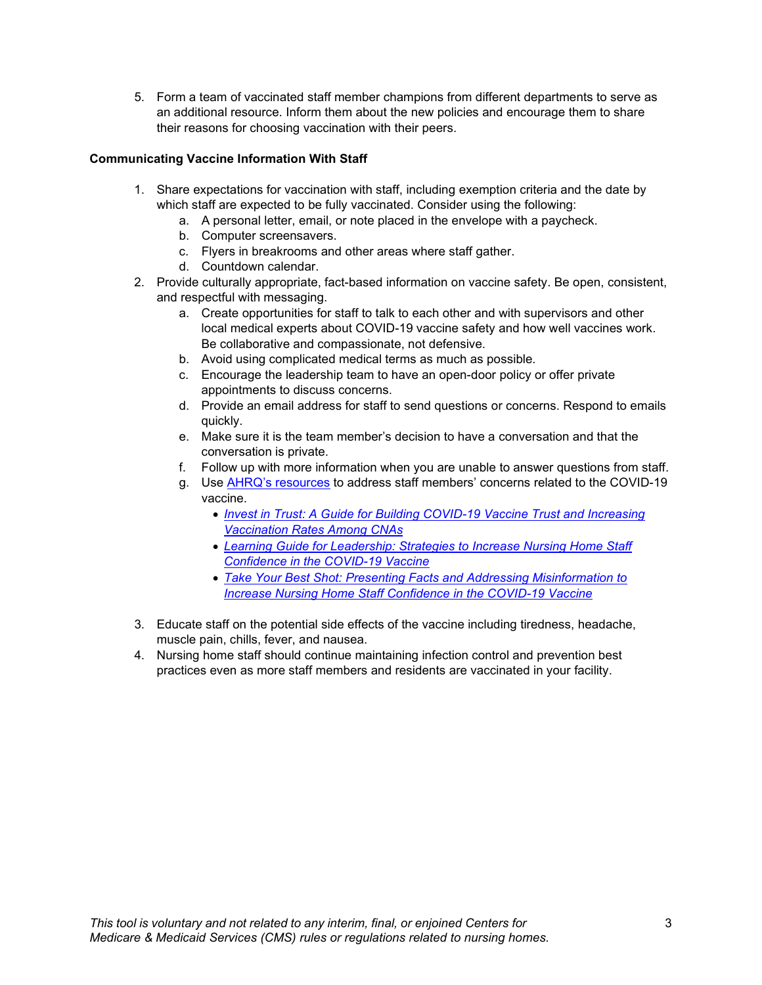5. Form a team of vaccinated staff member champions from different departments to serve as an additional resource. Inform them about the new policies and encourage them to share their reasons for choosing vaccination with their peers.

#### **Communicating Vaccine Information With Staff**

- 1. Share expectations for vaccination with staff, including exemption criteria and the date by which staff are expected to be fully vaccinated. Consider using the following:
	- a. A personal letter, email, or note placed in the envelope with a paycheck.
	- b. Computer screensavers.
	- c. Flyers in breakrooms and other areas where staff gather.
	- d. Countdown calendar.
- 2. Provide culturally appropriate, fact-based information on vaccine safety. Be open, consistent, and respectful with messaging.
	- a. Create opportunities for staff to talk to each other and with supervisors and other local medical experts about COVID-19 vaccine safety and how well vaccines work. Be collaborative and compassionate, not defensive.
	- b. Avoid using complicated medical terms as much as possible.
	- c. Encourage the leadership team to have an open-door policy or offer private appointments to discuss concerns.
	- d. Provide an email address for staff to send questions or concerns. Respond to emails quickly.
	- e. Make sure it is the team member's decision to have a conversation and that the conversation is private.
	- f. Follow up with more information when you are unable to answer questions from staff.
	- g. Use [AHRQ's resources](https://www.ahrq.gov/nursing-home/materials/vaccination/index.html) to address staff members' concerns related to the COVID-19 vaccine.
		- *[Invest in Trust: A Guide for Building COVID-19 Vaccine Trust and Increasing](https://www.ahrq.gov/nursing-home/materials/prevention/vaccine-trust.html)  [Vaccination Rates Among CNAs](https://www.ahrq.gov/nursing-home/materials/prevention/vaccine-trust.html)*
		- *[Learning Guide for Leadership: Strategies to Increase Nursing Home Staff](https://www.ahrq.gov/sites/default/files/wysiwyg/nursing-home/materials/covid19-vaccine-confidence-learning-guide-leadership.pdf)  [Confidence in the COVID-19 Vaccine](https://www.ahrq.gov/sites/default/files/wysiwyg/nursing-home/materials/covid19-vaccine-confidence-learning-guide-leadership.pdf)*
		- *[Take Your Best Shot: Presenting Facts and Addressing Misinformation to](https://www.ahrq.gov/sites/default/files/wysiwyg/nursing-home/materials/covid19-vaccine-confidence-curriculum-learning-guide-staff.pdf)  [Increase Nursing Home Staff Confidence in the COVID-19 Vaccine](https://www.ahrq.gov/sites/default/files/wysiwyg/nursing-home/materials/covid19-vaccine-confidence-curriculum-learning-guide-staff.pdf)*
- 3. Educate staff on the potential side effects of the vaccine including tiredness, headache, muscle pain, chills, fever, and nausea.
- 4. Nursing home staff should continue maintaining infection control and prevention best practices even as more staff members and residents are vaccinated in your facility.